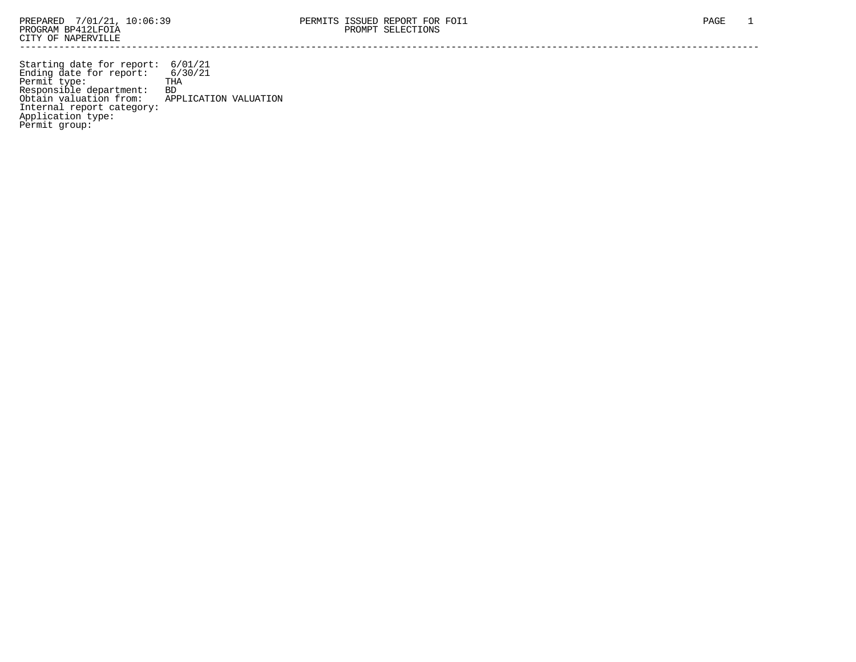Starting date for report: 6/01/21 Ending date for report: 6/30/21 Permit type: THA Responsible department: BD Obtain valuation from: APPLICATION VALUATION Internal report category: Application type: Permit group: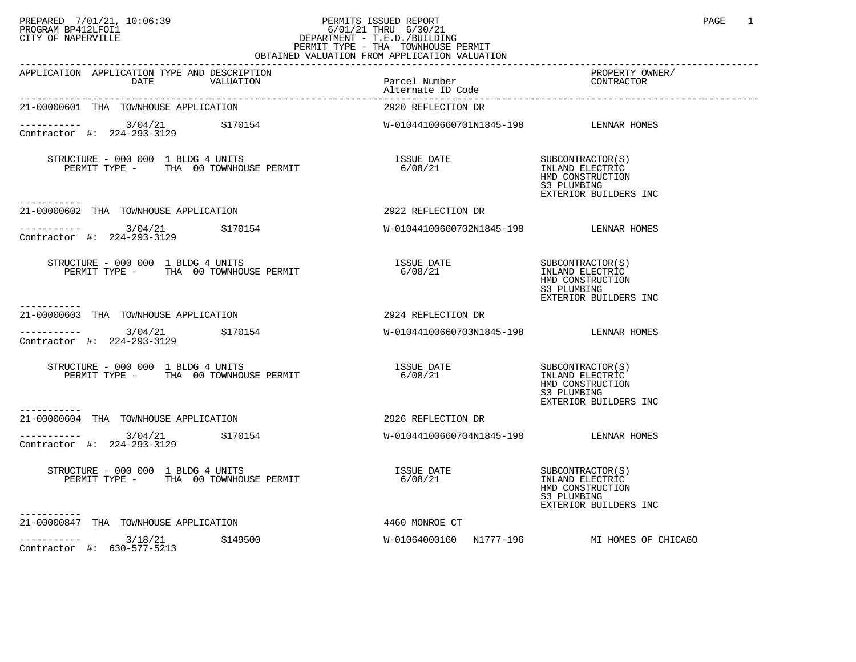## PREPARED 7/01/21, 10:06:39 PERMITS ISSUED REPORT PROGRAM BP412LFOI1 PAGE 1<br>PROGRAM BP412LFOI1 6/01/21 THRU 6/30/21<br>CITY OF NAPERVILLE PROGRAM BP412LFOI1 6/01/21 THRU 6/30/21 CITY OF NAPERVILLE **Example 20** CITY OF NAPERVILLE PERMIT TYPE - THA TOWNHOUSE PERMIT

| OBTAINED VALUATION FROM APPLICATION VALUATION                                                                      |                                        |                                                                                                 |  |  |  |
|--------------------------------------------------------------------------------------------------------------------|----------------------------------------|-------------------------------------------------------------------------------------------------|--|--|--|
| APPLICATION APPLICATION TYPE AND DESCRIPTION<br>Parcel Number<br>DATE VALUATION Parcel Number<br>Alternate ID Code |                                        | PROPERTY OWNER/<br>CONTRACTOR                                                                   |  |  |  |
| 21-00000601 THA TOWNHOUSE APPLICATION                                                                              | 2920 REFLECTION DR                     |                                                                                                 |  |  |  |
| ----------- 3/04/21 \$170154<br>Contractor #: 224-293-3129                                                         | W-01044100660701N1845-198 LENNAR HOMES |                                                                                                 |  |  |  |
| -----------                                                                                                        |                                        | SUBCONTRACTOR(S)<br>INLAND ELECTRIC<br>HMD CONSTRUCTION<br>S3 PLUMBING<br>EXTERIOR BUILDERS INC |  |  |  |
| 21-00000602 THA TOWNHOUSE APPLICATION                                                                              | 2922 REFLECTION DR                     |                                                                                                 |  |  |  |
| $\frac{3}{04}$<br>3/04/21 \$170154 W-01044100660702N1845-198 LENNAR HOMES<br>Contractor #: 224-293-3129            |                                        |                                                                                                 |  |  |  |
| STRUCTURE - 000 000 1 BLDG 4 UNITS<br>PERMIT TYPE - THA 00 TOWNHOUSE PERMIT                                        | ISSUE DATE<br>6/08/21                  | SUBCONTRACTOR(S)<br>INLAND ELECTRIC<br>HMD CONSTRUCTION<br>S3 PLUMBING<br>EXTERIOR BUILDERS INC |  |  |  |
| <u>__________</u><br>21-00000603 THA TOWNHOUSE APPLICATION                                                         | 2924 REFLECTION DR                     |                                                                                                 |  |  |  |
| $\frac{3}{04/21}$ \$170154<br>Contractor #: 224-293-3129                                                           | W-01044100660703N1845-198 LENNAR HOMES |                                                                                                 |  |  |  |
| STRUCTURE - 000 000 1 BLDG 4 UNITS<br>PERMIT TYPE - THA 00 TOWNHOUSE PERMIT                                        |                                        | HMD CONSTRUCTION<br>S3 PLUMBING<br>EXTERIOR BUILDERS INC                                        |  |  |  |
| ----------<br>21-00000604 THA TOWNHOUSE APPLICATION                                                                | 2926 REFLECTION DR                     |                                                                                                 |  |  |  |
| $\begin{array}{cccc}\n & - & - & - & - - - \\ \text{Contractor} & + & 224 - 293 - 3129 & & 5170154\n\end{array}$   | W-01044100660704N1845-198 LENNAR HOMES |                                                                                                 |  |  |  |
| STRUCTURE - 000 000 1 BLDG 4 UNITS<br>PERMIT TYPE - THA 00 TOWNHOUSE PERMIT                                        | ISSUE DATE<br>6/08/21                  | SUBCONTRACTOR(S)<br>INLAND ELECTRIC<br>HMD CONSTRUCTION<br>S3 PLUMBING<br>EXTERIOR BUILDERS INC |  |  |  |
| 21-00000847 THA TOWNHOUSE APPLICATION                                                                              | 4460 MONROE CT                         |                                                                                                 |  |  |  |
| 3/18/21 \$149500<br>Contractor #: 630-577-5213                                                                     |                                        | W-01064000160 N1777-196 MI HOMES OF CHICAGO                                                     |  |  |  |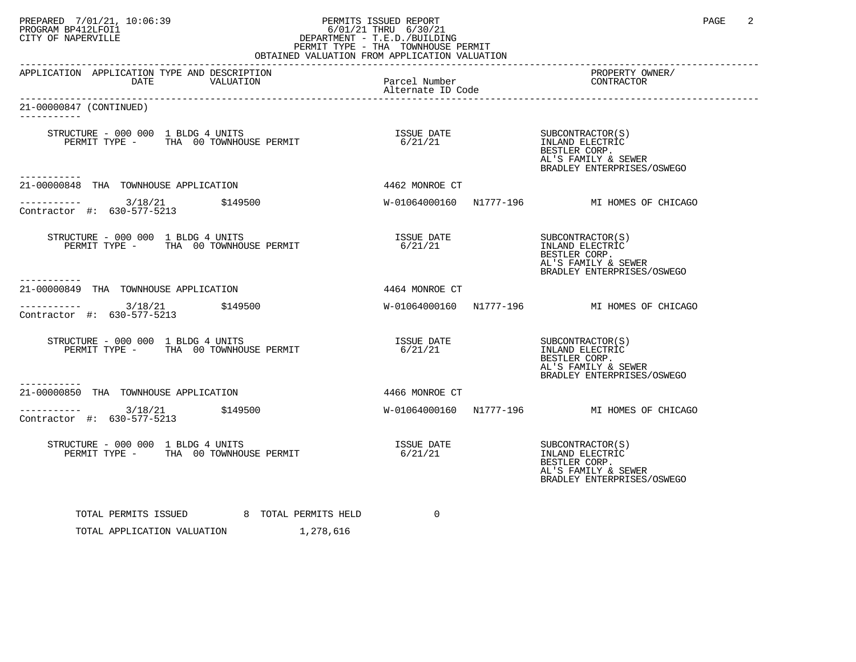## PREPARED 7/01/21, 10:06:39 PERMITS ISSUED REPORT PROGRAM BP412LFOI1 PAGE 2<br>PROGRAM BP412LFOI1 6/01/21 THRU 6/30/21<br>CITY OF NAPERVILLE PROGRAM BP412LFOI1 6/01/21 THRU 6/30/21 CITY OF NAPERVILLE **Example 20** CITY OF NAPERVILLE PERMIT TYPE - THA TOWNHOUSE PERMIT

| OBTAINED VALUATION FROM APPLICATION VALUATION                                              |                                        |                                                                                                           |  |  |  |  |  |
|--------------------------------------------------------------------------------------------|----------------------------------------|-----------------------------------------------------------------------------------------------------------|--|--|--|--|--|
| APPLICATION APPLICATION TYPE AND DESCRIPTION<br>VALUATION<br>DATE                          | Parcel Number<br>Alternate ID Code     | PROPERTY OWNER/<br>CONTRACTOR                                                                             |  |  |  |  |  |
| 21-00000847 (CONTINUED)<br>-----------                                                     |                                        |                                                                                                           |  |  |  |  |  |
| STRUCTURE - 000 000 1 BLDG 4 UNITS<br>PERMIT TYPE - THA 00 TOWNHOUSE PERMIT<br>----------- | ISSUE DATE SUBCONTRACTOR(S)<br>6/21/21 | INLAND ELECTRIC<br>BESTLER CORP.<br>AL'S FAMILY & SEWER<br>BRADLEY ENTERPRISES/OSWEGO                     |  |  |  |  |  |
| 21-00000848 THA TOWNHOUSE APPLICATION                                                      | 4462 MONROE CT                         |                                                                                                           |  |  |  |  |  |
| ----------- 3/18/21 \$149500<br>Contractor #: 630-577-5213                                 |                                        | W-01064000160 N1777-196 MI HOMES OF CHICAGO                                                               |  |  |  |  |  |
| STRUCTURE - 000 000 1 BLDG 4 UNITS<br>PERMIT TYPE - THA 00 TOWNHOUSE PERMIT                | ISSUE DATE SUBCONTRACTOR(S)<br>6/21/21 | INLAND ELECTRIC<br>BESTLER CORP.<br>AL'S FAMILY & SEWER<br>BRADLEY ENTERPRISES/OSWEGO                     |  |  |  |  |  |
| 21-00000849 THA TOWNHOUSE APPLICATION                                                      | 4464 MONROE CT                         |                                                                                                           |  |  |  |  |  |
| $\frac{3}{18/21}$ \$149500<br>Contractor #: 630-577-5213                                   |                                        | W-01064000160 N1777-196 MI HOMES OF CHICAGO                                                               |  |  |  |  |  |
| STRUCTURE - 000 000 1 BLDG 4 UNITS<br>PERMIT TYPE - THA 00 TOWNHOUSE PERMIT                | ISSUE DATE<br>6/21/21                  | SUBCONTRACTOR(S)<br>INLAND ELECTRIC<br>BESTLER CORP.<br>AL'S FAMILY & SEWER<br>BRADLEY ENTERPRISES/OSWEGO |  |  |  |  |  |
| 21-00000850 THA TOWNHOUSE APPLICATION                                                      | 4466 MONROE CT                         |                                                                                                           |  |  |  |  |  |
| $-$ -------- $3/18/21$ \$149500<br>Contractor #: 630-577-5213                              |                                        | W-01064000160 N1777-196 MI HOMES OF CHICAGO                                                               |  |  |  |  |  |
| STRUCTURE - 000 000 1 BLDG 4 UNITS<br>PERMIT TYPE - THA 00 TOWNHOUSE PERMIT                | ISSUE DATE<br>6/21/21                  | SUBCONTRACTOR(S)<br>INLAND ELECTRIC<br>BESTLER CORP.<br>AL'S FAMILY & SEWER<br>BRADLEY ENTERPRISES/OSWEGO |  |  |  |  |  |
| TOTAL PERMITS ISSUED 6 TOTAL PERMITS HELD<br>TOTAL APPLICATION VALUATION 1,278,616         | $\Omega$                               |                                                                                                           |  |  |  |  |  |